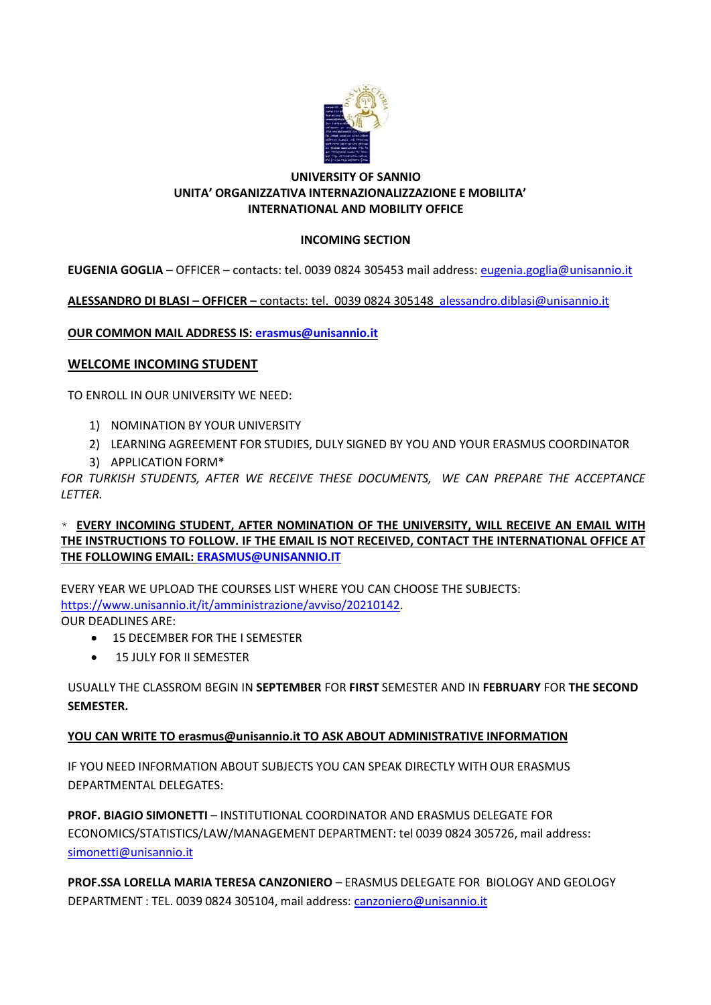

#### UNIVERSITY OF SANNIO UNITA' ORGANIZZATIVA INTERNAZIONALIZZAZIONE E MOBILITA' INTERNATIONAL AND MOBILITY OFFICE

## INCOMING SECTION

EUGENIA GOGLIA – OFFICER – contacts: tel. 0039 0824 305453 mail address: eugenia.goglia@unisannio.it

ALESSANDRO DI BLASI – OFFICER – contacts: tel. 0039 0824 305148 alessandro.diblasi@unisannio.it

OUR COMMON MAIL ADDRESS IS: erasmus@unisannio.it

### WELCOME INCOMING STUDENT

TO ENROLL IN OUR UNIVERSITY WE NEED:

- 1) NOMINATION BY YOUR UNIVERSITY
- 2) LEARNING AGREEMENT FOR STUDIES, DULY SIGNED BY YOU AND YOUR ERASMUS COORDINATOR
- 3) APPLICATION FORM\*

FOR TURKISH STUDENTS, AFTER WE RECEIVE THESE DOCUMENTS, WE CAN PREPARE THE ACCEPTANCE LETTER.

 $*$  EVERY INCOMING STUDENT, AFTER NOMINATION OF THE UNIVERSITY, WILL RECEIVE AN EMAIL WITH THE INSTRUCTIONS TO FOLLOW. IF THE EMAIL IS NOT RECEIVED, CONTACT THE INTERNATIONAL OFFICE AT THE FOLLOWING EMAIL: ERASMUS@UNISANNIO.IT

EVERY YEAR WE UPLOAD THE COURSES LIST WHERE YOU CAN CHOOSE THE SUBJECTS: https://www.unisannio.it/it/amministrazione/avviso/20210142. OUR DEADLINES ARE:

- $-15$  DECEMBER FOR THE I SEMESTER
- 15 JULY FOR II SEMESTER

USUALLY THE CLASSROM BEGIN IN SEPTEMBER FOR FIRST SEMESTER AND IN FEBRUARY FOR THE SECOND SEMESTER.

## YOU CAN WRITE TO erasmus@unisannio.it TO ASK ABOUT ADMINISTRATIVE INFORMATION

IF YOU NEED INFORMATION ABOUT SUBJECTS YOU CAN SPEAK DIRECTLY WITH OUR ERASMUS DEPARTMENTAL DELEGATES:

PROF. BIAGIO SIMONETTI – INSTITUTIONAL COORDINATOR AND ERASMUS DELEGATE FOR ECONOMICS/STATISTICS/LAW/MANAGEMENT DEPARTMENT: tel 0039 0824 305726, mail address: simonetti@unisannio.it

PROF.SSA LORELLA MARIA TERESA CANZONIERO – ERASMUS DELEGATE FOR BIOLOGY AND GEOLOGY DEPARTMENT : TEL. 0039 0824 305104, mail address: canzoniero@unisannio.it